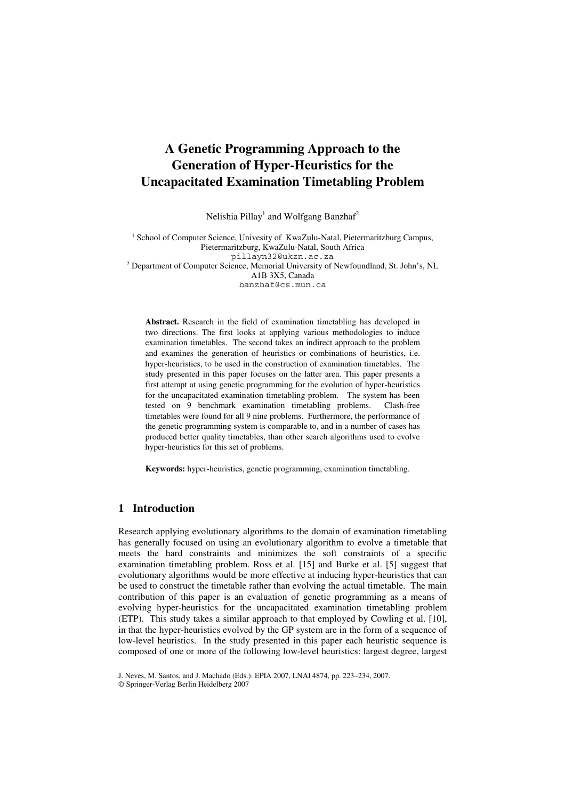# **A Genetic Programming Approach to the Generation of Hyper-Heuristics for the Uncapacitated Examination Timetabling Problem**

Nelishia Pillay $^{\rm l}$  and Wolfgang Banzhaf $^{\rm 2}$ 

<sup>1</sup> School of Computer Science, Univesity of KwaZulu-Natal, Pietermaritzburg Campus, Pietermaritzburg, KwaZulu-Natal, South Africa pillayn32@ukzn.ac.za <sup>2</sup> Department of Computer Science, Memorial University of Newfoundland, St. John's, NL A1B 3X5, Canada banzhaf@cs.mun.ca

**Abstract.** Research in the field of examination timetabling has developed in two directions. The first looks at applying various methodologies to induce examination timetables. The second takes an indirect approach to the problem and examines the generation of heuristics or combinations of heuristics, i.e. hyper-heuristics, to be used in the construction of examination timetables. The study presented in this paper focuses on the latter area. This paper presents a first attempt at using genetic programming for the evolution of hyper-heuristics for the uncapacitated examination timetabling problem. The system has been tested on 9 benchmark examination timetabling problems. Clash-free timetables were found for all 9 nine problems. Furthermore, the performance of the genetic programming system is comparable to, and in a number of cases has produced better quality timetables, than other search algorithms used to evolve hyper-heuristics for this set of problems.

**Keywords:** hyper-heuristics, genetic programming, examination timetabling.

# **1 Introduction**

Research applying evolutionary algorithms to the domain of examination timetabling has generally focused on using an evolutionary algorithm to evolve a timetable that meets the hard constraints and minimizes the soft constraints of a specific examination timetabling problem. Ross et al. [15] and Burke et al. [5] suggest that evolutionary algorithms would be more effective at inducing hyper-heuristics that can be used to construct the timetable rather than evolving the actual timetable. The main contribution of this paper is an evaluation of genetic programming as a means of evolving hyper-heuristics for the uncapacitated examination timetabling problem (ETP). This study takes a similar approach to that employed by Cowling et al. [10], in that the hyper-heuristics evolved by the GP system are in the form of a sequence of low-level heuristics. In the study presented in this paper each heuristic sequence is composed of one or more of the following low-level heuristics: largest degree, largest

J. Neves, M. Santos, and J. Machado (Eds.): EPIA 2007, LNAI 4874, pp. 223–234, 2007.

<sup>©</sup> Springer-Verlag Berlin Heidelberg 2007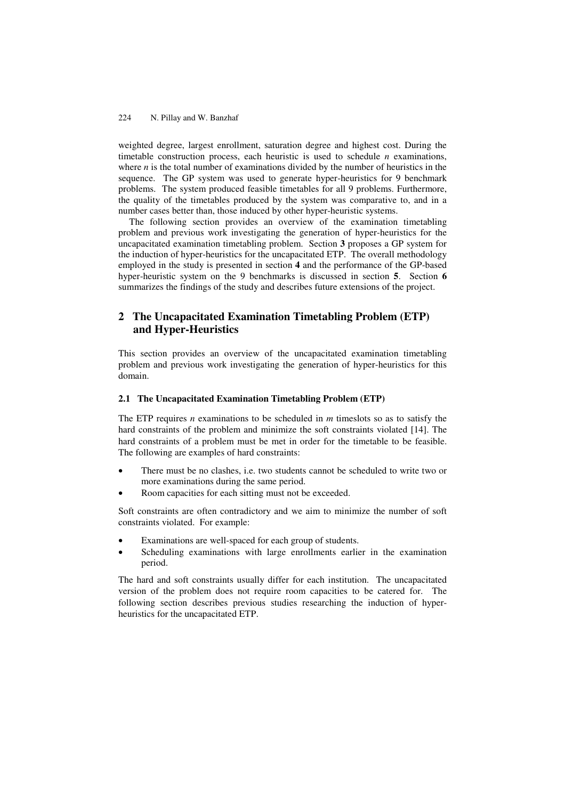weighted degree, largest enrollment, saturation degree and highest cost. During the timetable construction process, each heuristic is used to schedule *n* examinations, where  $n$  is the total number of examinations divided by the number of heuristics in the sequence. The GP system was used to generate hyper-heuristics for 9 benchmark problems. The system produced feasible timetables for all 9 problems. Furthermore, the quality of the timetables produced by the system was comparative to, and in a number cases better than, those induced by other hyper-heuristic systems.

The following section provides an overview of the examination timetabling problem and previous work investigating the generation of hyper-heuristics for the uncapacitated examination timetabling problem. Section **3** proposes a GP system for the induction of hyper-heuristics for the uncapacitated ETP. The overall methodology employed in the study is presented in section **4** and the performance of the GP-based hyper-heuristic system on the 9 benchmarks is discussed in section **5**. Section **6**  summarizes the findings of the study and describes future extensions of the project.

# **2 The Uncapacitated Examination Timetabling Problem (ETP) and Hyper-Heuristics**

This section provides an overview of the uncapacitated examination timetabling problem and previous work investigating the generation of hyper-heuristics for this domain.

#### **2.1 The Uncapacitated Examination Timetabling Problem (ETP)**

The ETP requires *n* examinations to be scheduled in *m* timeslots so as to satisfy the hard constraints of the problem and minimize the soft constraints violated [14]. The hard constraints of a problem must be met in order for the timetable to be feasible. The following are examples of hard constraints:

- There must be no clashes, i.e. two students cannot be scheduled to write two or more examinations during the same period.
- Room capacities for each sitting must not be exceeded.

Soft constraints are often contradictory and we aim to minimize the number of soft constraints violated. For example:

- Examinations are well-spaced for each group of students.
- Scheduling examinations with large enrollments earlier in the examination period.

The hard and soft constraints usually differ for each institution. The uncapacitated version of the problem does not require room capacities to be catered for. The following section describes previous studies researching the induction of hyperheuristics for the uncapacitated ETP.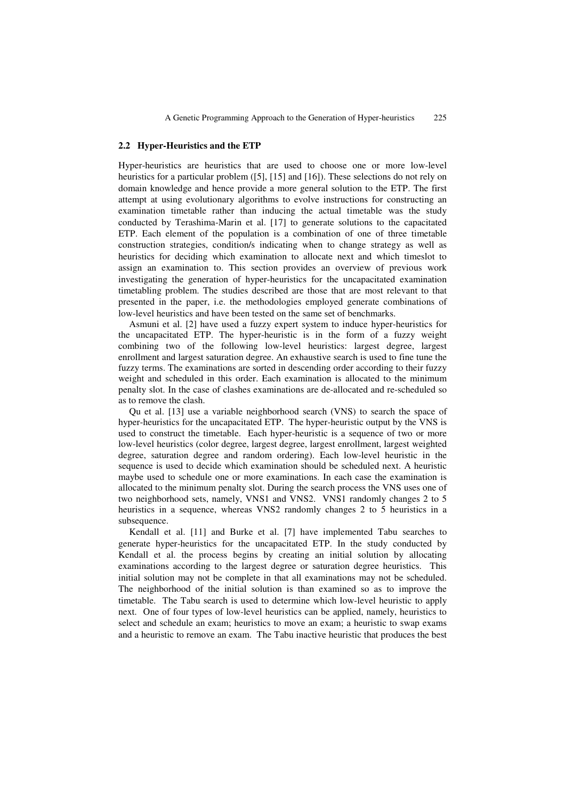#### **2.2 Hyper-Heuristics and the ETP**

Hyper-heuristics are heuristics that are used to choose one or more low-level heuristics for a particular problem ([5], [15] and [16]). These selections do not rely on domain knowledge and hence provide a more general solution to the ETP. The first attempt at using evolutionary algorithms to evolve instructions for constructing an examination timetable rather than inducing the actual timetable was the study conducted by Terashima-Marin et al. [17] to generate solutions to the capacitated ETP. Each element of the population is a combination of one of three timetable construction strategies, condition/s indicating when to change strategy as well as heuristics for deciding which examination to allocate next and which timeslot to assign an examination to. This section provides an overview of previous work investigating the generation of hyper-heuristics for the uncapacitated examination timetabling problem. The studies described are those that are most relevant to that presented in the paper, i.e. the methodologies employed generate combinations of low-level heuristics and have been tested on the same set of benchmarks.

Asmuni et al. [2] have used a fuzzy expert system to induce hyper-heuristics for the uncapacitated ETP. The hyper-heuristic is in the form of a fuzzy weight combining two of the following low-level heuristics: largest degree, largest enrollment and largest saturation degree. An exhaustive search is used to fine tune the fuzzy terms. The examinations are sorted in descending order according to their fuzzy weight and scheduled in this order. Each examination is allocated to the minimum penalty slot. In the case of clashes examinations are de-allocated and re-scheduled so as to remove the clash.

Qu et al. [13] use a variable neighborhood search (VNS) to search the space of hyper-heuristics for the uncapacitated ETP. The hyper-heuristic output by the VNS is used to construct the timetable. Each hyper-heuristic is a sequence of two or more low-level heuristics (color degree, largest degree, largest enrollment, largest weighted degree, saturation degree and random ordering). Each low-level heuristic in the sequence is used to decide which examination should be scheduled next. A heuristic maybe used to schedule one or more examinations. In each case the examination is allocated to the minimum penalty slot. During the search process the VNS uses one of two neighborhood sets, namely, VNS1 and VNS2. VNS1 randomly changes 2 to 5 heuristics in a sequence, whereas VNS2 randomly changes 2 to 5 heuristics in a subsequence.

Kendall et al. [11] and Burke et al. [7] have implemented Tabu searches to generate hyper-heuristics for the uncapacitated ETP. In the study conducted by Kendall et al. the process begins by creating an initial solution by allocating examinations according to the largest degree or saturation degree heuristics. This initial solution may not be complete in that all examinations may not be scheduled. The neighborhood of the initial solution is than examined so as to improve the timetable. The Tabu search is used to determine which low-level heuristic to apply next. One of four types of low-level heuristics can be applied, namely, heuristics to select and schedule an exam; heuristics to move an exam; a heuristic to swap exams and a heuristic to remove an exam. The Tabu inactive heuristic that produces the best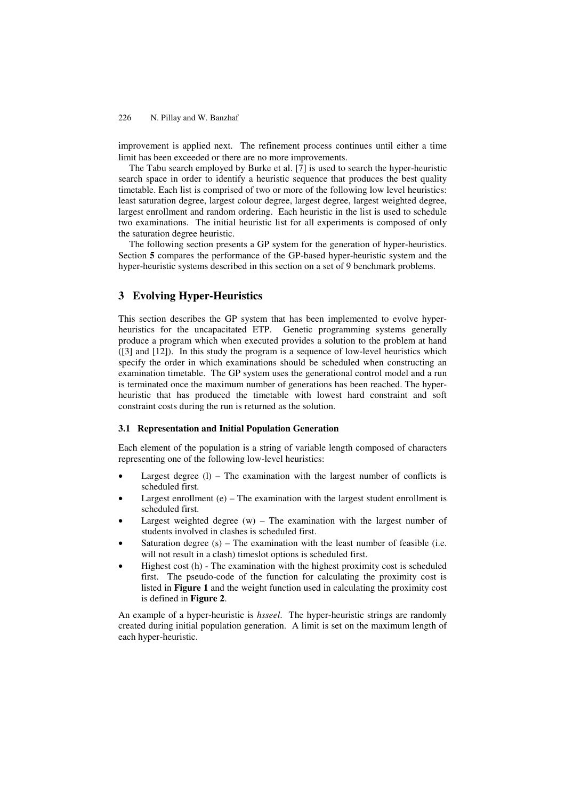improvement is applied next. The refinement process continues until either a time limit has been exceeded or there are no more improvements.

The Tabu search employed by Burke et al. [7] is used to search the hyper-heuristic search space in order to identify a heuristic sequence that produces the best quality timetable. Each list is comprised of two or more of the following low level heuristics: least saturation degree, largest colour degree, largest degree, largest weighted degree, largest enrollment and random ordering. Each heuristic in the list is used to schedule two examinations. The initial heuristic list for all experiments is composed of only the saturation degree heuristic.

The following section presents a GP system for the generation of hyper-heuristics. Section **5** compares the performance of the GP-based hyper-heuristic system and the hyper-heuristic systems described in this section on a set of 9 benchmark problems.

# **3 Evolving Hyper-Heuristics**

This section describes the GP system that has been implemented to evolve hyperheuristics for the uncapacitated ETP. Genetic programming systems generally produce a program which when executed provides a solution to the problem at hand ([3] and [12]). In this study the program is a sequence of low-level heuristics which specify the order in which examinations should be scheduled when constructing an examination timetable. The GP system uses the generational control model and a run is terminated once the maximum number of generations has been reached. The hyperheuristic that has produced the timetable with lowest hard constraint and soft constraint costs during the run is returned as the solution.

#### **3.1 Representation and Initial Population Generation**

Each element of the population is a string of variable length composed of characters representing one of the following low-level heuristics:

- Largest degree  $(l)$  The examination with the largest number of conflicts is scheduled first.
- Largest enrollment  $(e)$  The examination with the largest student enrollment is scheduled first.
- Largest weighted degree  $(w)$  The examination with the largest number of students involved in clashes is scheduled first.
- Saturation degree  $(s)$  The examination with the least number of feasible (i.e. will not result in a clash) timeslot options is scheduled first.
- Highest cost (h) The examination with the highest proximity cost is scheduled first. The pseudo-code of the function for calculating the proximity cost is listed in **Figure 1** and the weight function used in calculating the proximity cost is defined in **Figure 2**.

An example of a hyper-heuristic is *hsseel*. The hyper-heuristic strings are randomly created during initial population generation. A limit is set on the maximum length of each hyper-heuristic.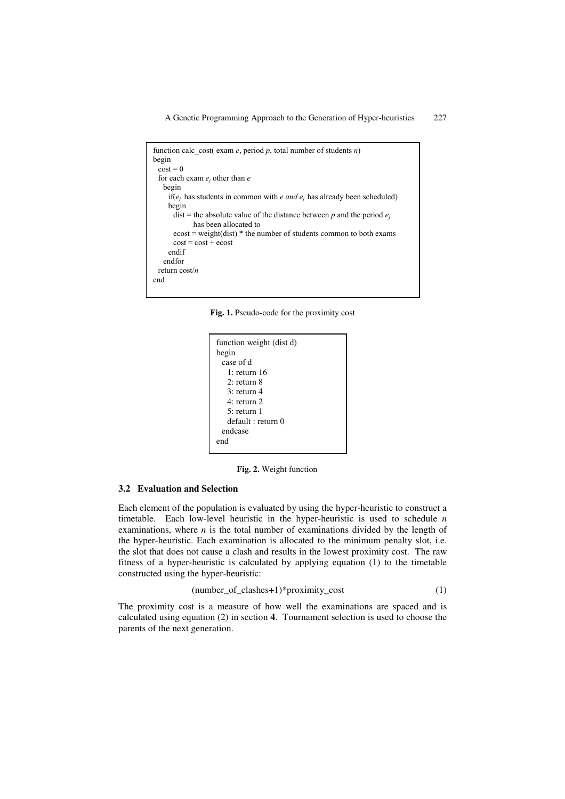A Genetic Programming Approach to the Generation of Hyper-heuristics 227

```
function calc_cost( exam e, period p, total number of students n)
begin 
 \csc = 0for each exam ej other than e
  begin 
    if(e_i has students in common with e and e_i has already been scheduled)
    begin 
      dist = the absolute value of the distance between p and the period e_i has been allocated to 
      ecost = weight(dist) * the number of students common to both exams 
      cost = cost + ecostendif 
  endfor 
 return cost/n
end
```
**Fig. 1.** Pseudo-code for the proximity cost

```
function weight (dist d) 
begin 
 case of d 
   1: return 16 
   2: return 8 
   3: return 4 
   4: return 2 
   5: return 1 
   default : return 0 
 endcase 
end
```
**Fig. 2.** Weight function

# **3.2 Evaluation and Selection**

Each element of the population is evaluated by using the hyper-heuristic to construct a timetable. Each low-level heuristic in the hyper-heuristic is used to schedule *n* examinations, where *n* is the total number of examinations divided by the length of the hyper-heuristic. Each examination is allocated to the minimum penalty slot, i.e. the slot that does not cause a clash and results in the lowest proximity cost. The raw fitness of a hyper-heuristic is calculated by applying equation (1) to the timetable constructed using the hyper-heuristic:

$$
(number_of_class + 1)*proximity\_cost
$$
\n
$$
(1)
$$

The proximity cost is a measure of how well the examinations are spaced and is calculated using equation (2) in section **4**. Tournament selection is used to choose the parents of the next generation.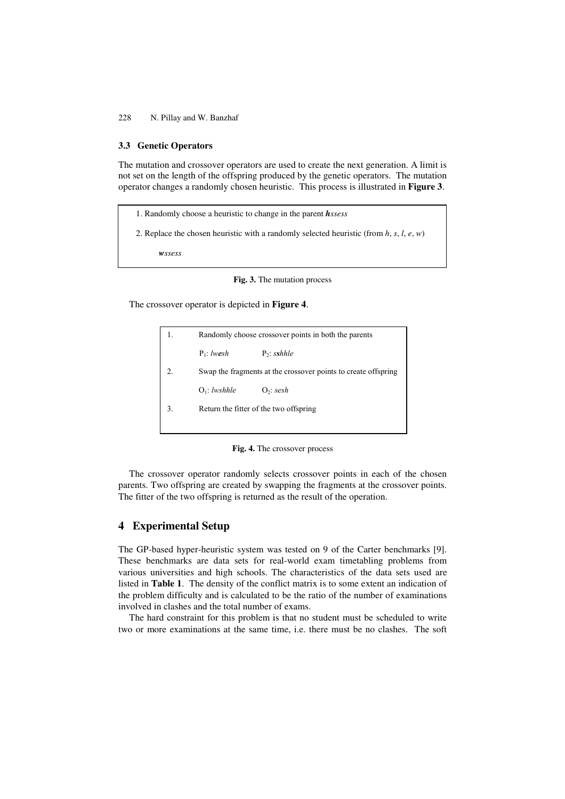#### **3.3 Genetic Operators**

The mutation and crossover operators are used to create the next generation. A limit is not set on the length of the offspring produced by the genetic operators. The mutation operator changes a randomly chosen heuristic. This process is illustrated in **Figure 3**.

1. Randomly choose a heuristic to change in the parent *hssess*  2. Replace the chosen heuristic with a randomly selected heuristic (from *h*, *s*, *l*, *e*, *w*) *wssess* 

**Fig. 3.** The mutation process

The crossover operator is depicted in **Figure 4**.

| 1. | Randomly choose crossover points in both the parents           |                |  |
|----|----------------------------------------------------------------|----------------|--|
|    | $P_1$ : lwesh                                                  | $P_2$ : sshhle |  |
| 2. | Swap the fragments at the crossover points to create offspring |                |  |
|    | $O1:$ lwshhle                                                  | $O_2$ : sesh   |  |
| 3. | Return the fitter of the two offspring                         |                |  |
|    |                                                                |                |  |

**Fig. 4.** The crossover process

The crossover operator randomly selects crossover points in each of the chosen parents. Two offspring are created by swapping the fragments at the crossover points. The fitter of the two offspring is returned as the result of the operation.

# **4 Experimental Setup**

The GP-based hyper-heuristic system was tested on 9 of the Carter benchmarks [9]. These benchmarks are data sets for real-world exam timetabling problems from various universities and high schools. The characteristics of the data sets used are listed in **Table 1**. The density of the conflict matrix is to some extent an indication of the problem difficulty and is calculated to be the ratio of the number of examinations involved in clashes and the total number of exams.

The hard constraint for this problem is that no student must be scheduled to write two or more examinations at the same time, i.e. there must be no clashes. The soft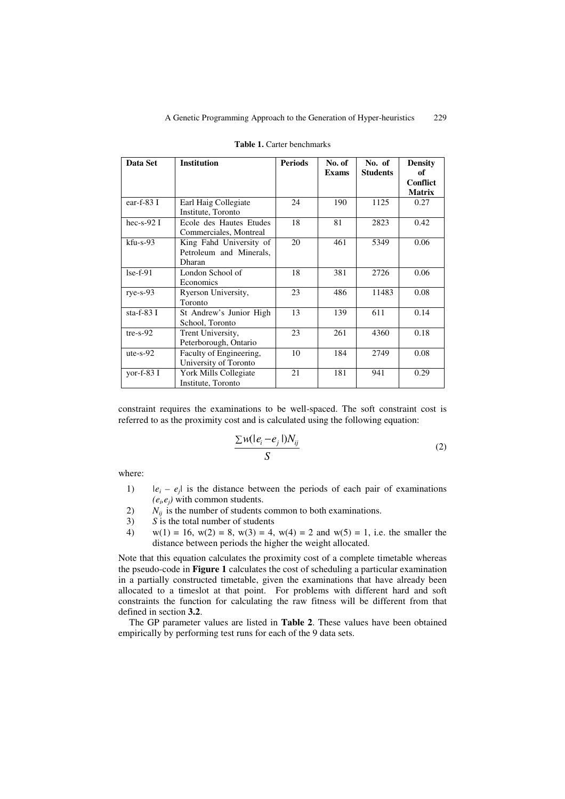| Data Set     | <b>Institution</b>                                                  | <b>Periods</b> | No. of<br><b>Exams</b> | No. of<br><b>Students</b> | <b>Density</b><br>of             |
|--------------|---------------------------------------------------------------------|----------------|------------------------|---------------------------|----------------------------------|
|              |                                                                     |                |                        |                           | <b>Conflict</b><br><b>Matrix</b> |
| ear-f- $83I$ | Earl Haig Collegiate<br>Institute, Toronto                          | 24             | 190                    | 1125                      | 0.27                             |
| hec-s-92 $I$ | Ecole des Hautes Etudes<br>Commerciales, Montreal                   | 18             | 81                     | 2823                      | 0.42                             |
| $kfu-s-93$   | King Fahd University of<br>Petroleum and Minerals,<br><b>Dharan</b> | 20             | 461                    | 5349                      | 0.06                             |
| $1se-f-91$   | London School of<br>Economics                                       | 18             | 381                    | 2726                      | 0.06                             |
| $rye-s-93$   | Ryerson University,<br>Toronto                                      | 23             | 486                    | 11483                     | 0.08                             |
| sta-f-83 $I$ | St Andrew's Junior High<br>School, Toronto                          | 13             | 139                    | 611                       | 0.14                             |
| $tre-s-92$   | Trent University,<br>Peterborough, Ontario                          | 23             | 261                    | 4360                      | 0.18                             |
| $ute-s-92$   | Faculty of Engineering,<br>University of Toronto                    | 10             | 184                    | 2749                      | 0.08                             |
| yor-f-83 $I$ | York Mills Collegiate<br>Institute, Toronto                         | 21             | 181                    | 941                       | 0.29                             |

**Table 1.** Carter benchmarks

constraint requires the examinations to be well-spaced. The soft constraint cost is referred to as the proximity cost and is calculated using the following equation:

$$
\frac{\sum w(l_e - e_j l)N_{ij}}{S}
$$
 (2)

where:

- 1)  $|e_i e_j|$  is the distance between the periods of each pair of examinations  $(e_i, e_j)$  with common students.
- 2)  $N_{ij}$  is the number of students common to both examinations.
- 3) *S* is the total number of students
- 4) w(1) = 16, w(2) = 8, w(3) = 4, w(4) = 2 and w(5) = 1, i.e. the smaller the distance between periods the higher the weight allocated.

Note that this equation calculates the proximity cost of a complete timetable whereas the pseudo-code in **Figure 1** calculates the cost of scheduling a particular examination in a partially constructed timetable, given the examinations that have already been allocated to a timeslot at that point. For problems with different hard and soft constraints the function for calculating the raw fitness will be different from that defined in section **3.2**.

The GP parameter values are listed in **Table 2**. These values have been obtained empirically by performing test runs for each of the 9 data sets.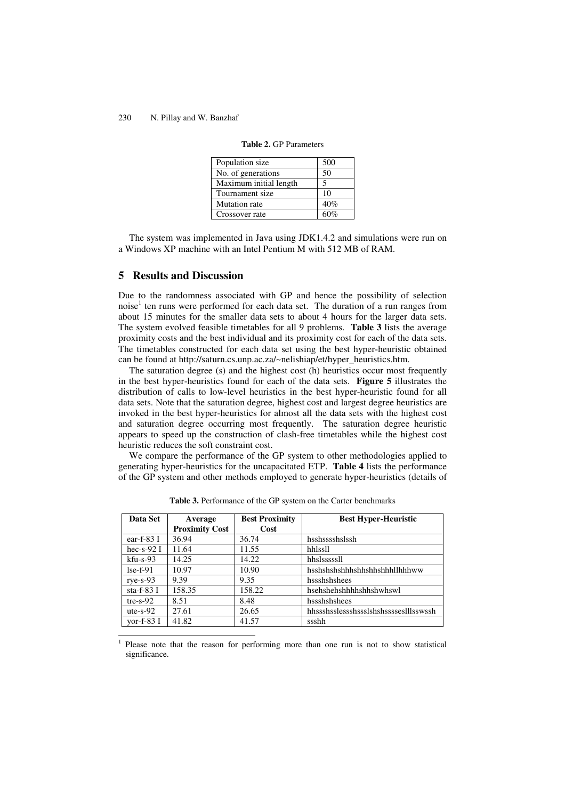| Population size        | 500 |
|------------------------|-----|
| No. of generations     | 50  |
| Maximum initial length |     |
| Tournament size        | 10  |
| <b>Mutation</b> rate   | 40% |
| Crossover rate         | 60% |

**Table 2.** GP Parameters

The system was implemented in Java using JDK1.4.2 and simulations were run on a Windows XP machine with an Intel Pentium M with 512 MB of RAM.

### **5 Results and Discussion**

-

Due to the randomness associated with GP and hence the possibility of selection noise<sup>1</sup> ten runs were performed for each data set. The duration of a run ranges from about 15 minutes for the smaller data sets to about 4 hours for the larger data sets. The system evolved feasible timetables for all 9 problems. **Table 3** lists the average proximity costs and the best individual and its proximity cost for each of the data sets. The timetables constructed for each data set using the best hyper-heuristic obtained can be found at http://saturn.cs.unp.ac.za/~nelishiap/et/hyper\_heuristics.htm.

The saturation degree (s) and the highest cost (h) heuristics occur most frequently in the best hyper-heuristics found for each of the data sets. **Figure 5** illustrates the distribution of calls to low-level heuristics in the best hyper-heuristic found for all data sets. Note that the saturation degree, highest cost and largest degree heuristics are invoked in the best hyper-heuristics for almost all the data sets with the highest cost and saturation degree occurring most frequently. The saturation degree heuristic appears to speed up the construction of clash-free timetables while the highest cost heuristic reduces the soft constraint cost.

We compare the performance of the GP system to other methodologies applied to generating hyper-heuristics for the uncapacitated ETP. **Table 4** lists the performance of the GP system and other methods employed to generate hyper-heuristics (details of

| Data Set                  | Average               | <b>Best Proximity</b> | <b>Best Hyper-Heuristic</b>           |  |
|---------------------------|-----------------------|-----------------------|---------------------------------------|--|
|                           | <b>Proximity Cost</b> | Cost                  |                                       |  |
| ear-f-83 $I$              | 36.94                 | 36.74                 | hsshsssshslssh                        |  |
| hec-s-92 $I$              | 11.64                 | 11.55                 | hhlssll                               |  |
| $kfu-s-93$                | 14.25                 | 14.22                 | hhslsssssll                           |  |
| $1se-f-91$                | 10.97                 | 10.90                 | hsshshshshhhshhshhshhhllhhhww         |  |
| $rye-s-93$                | 9.39                  | 9.35                  | hssshshshees                          |  |
| sta-f-83 $I$              | 158.35                | 158.22                | hsehshehshhhhshhshwhswl               |  |
| $tre-s-92$                | 8.51                  | 8.48                  | hssshshshees                          |  |
| $ute-s-92$                | 27.61                 | 26.65                 | hhssshsslessshssslshshsssseslllsswssh |  |
| $\overline{V}$ vor-f-83 I | 41.82                 | 41.57                 | ssshh                                 |  |

**Table 3.** Performance of the GP system on the Carter benchmarks

1 Please note that the reason for performing more than one run is not to show statistical significance.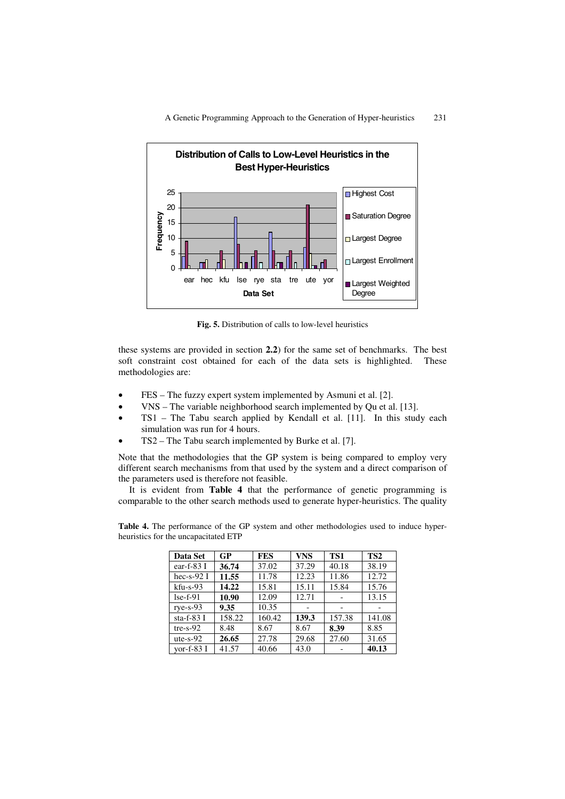

**Fig. 5.** Distribution of calls to low-level heuristics

these systems are provided in section **2.2**) for the same set of benchmarks. The best soft constraint cost obtained for each of the data sets is highlighted. These methodologies are:

- FES The fuzzy expert system implemented by Asmuni et al. [2].
- VNS The variable neighborhood search implemented by Qu et al. [13].
- TS1 The Tabu search applied by Kendall et al. [11]. In this study each simulation was run for 4 hours.
- TS2 The Tabu search implemented by Burke et al. [7].

Note that the methodologies that the GP system is being compared to employ very different search mechanisms from that used by the system and a direct comparison of the parameters used is therefore not feasible.

It is evident from **Table 4** that the performance of genetic programming is comparable to the other search methods used to generate hyper-heuristics. The quality

**Table 4.** The performance of the GP system and other methodologies used to induce hyperheuristics for the uncapacitated ETP

| Data Set     | <b>GP</b> | <b>FES</b> | <b>VNS</b> | TS1    | TS <sub>2</sub> |
|--------------|-----------|------------|------------|--------|-----------------|
| ear-f-83 $I$ | 36.74     | 37.02      | 37.29      | 40.18  | 38.19           |
| hec-s-92 $I$ | 11.55     | 11.78      | 12.23      | 11.86  | 12.72           |
| $kfu-s-93$   | 14.22     | 15.81      | 15.11      | 15.84  | 15.76           |
| $lse-f-91$   | 10.90     | 12.09      | 12.71      |        | 13.15           |
| $rye-s-93$   | 9.35      | 10.35      |            |        |                 |
| sta-f-83 $I$ | 158.22    | 160.42     | 139.3      | 157.38 | 141.08          |
| $tre-s-92$   | 8.48      | 8.67       | 8.67       | 8.39   | 8.85            |
| $ute-s-92$   | 26.65     | 27.78      | 29.68      | 27.60  | 31.65           |
| vor-f-83 $I$ | 41.57     | 40.66      | 43.0       |        | 40.13           |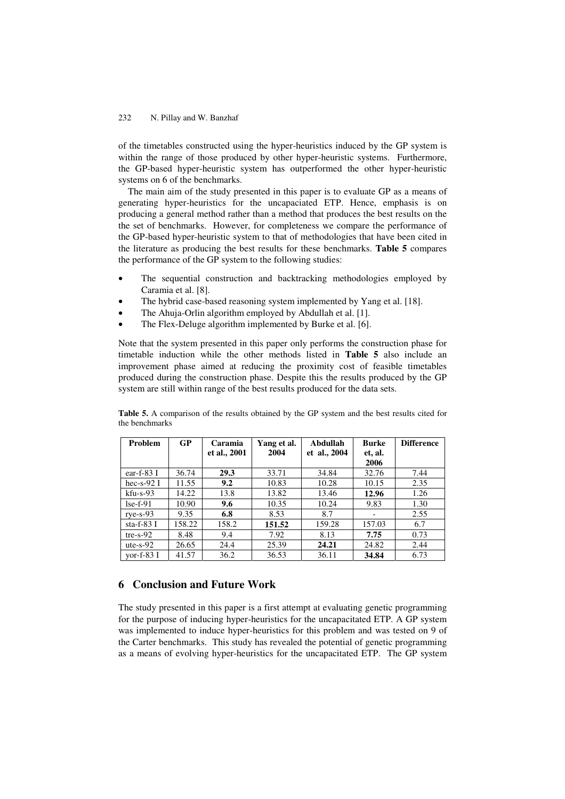of the timetables constructed using the hyper-heuristics induced by the GP system is within the range of those produced by other hyper-heuristic systems. Furthermore, the GP-based hyper-heuristic system has outperformed the other hyper-heuristic systems on 6 of the benchmarks.

The main aim of the study presented in this paper is to evaluate GP as a means of generating hyper-heuristics for the uncapaciated ETP. Hence, emphasis is on producing a general method rather than a method that produces the best results on the the set of benchmarks. However, for completeness we compare the performance of the GP-based hyper-heuristic system to that of methodologies that have been cited in the literature as producing the best results for these benchmarks. **Table 5** compares the performance of the GP system to the following studies:

- The sequential construction and backtracking methodologies employed by Caramia et al. [8].
- The hybrid case-based reasoning system implemented by Yang et al. [18].
- The Ahuja-Orlin algorithm employed by Abdullah et al. [1].
- The Flex-Deluge algorithm implemented by Burke et al. [6].

Note that the system presented in this paper only performs the construction phase for timetable induction while the other methods listed in **Table 5** also include an improvement phase aimed at reducing the proximity cost of feasible timetables produced during the construction phase. Despite this the results produced by the GP system are still within range of the best results produced for the data sets.

| Problem      | <b>GP</b> | Caramia      | Yang et al. | Abdullah     | <b>Burke</b>             | <b>Difference</b> |
|--------------|-----------|--------------|-------------|--------------|--------------------------|-------------------|
|              |           | et al., 2001 | 2004        | et al., 2004 | et, al.                  |                   |
|              |           |              |             |              | 2006                     |                   |
| ear-f- $83I$ | 36.74     | 29.3         | 33.71       | 34.84        | 32.76                    | 7.44              |
| hec-s-92 $I$ | 11.55     | 9.2          | 10.83       | 10.28        | 10.15                    | 2.35              |
| $kfu-s-93$   | 14.22     | 13.8         | 13.82       | 13.46        | 12.96                    | 1.26              |
| $lse-f-91$   | 10.90     | 9.6          | 10.35       | 10.24        | 9.83                     | 1.30              |
| $rye-s-93$   | 9.35      | 6.8          | 8.53        | 8.7          | $\overline{\phantom{a}}$ | 2.55              |
| sta-f-83 $I$ | 158.22    | 158.2        | 151.52      | 159.28       | 157.03                   | 6.7               |
| $tre-s-92$   | 8.48      | 9.4          | 7.92        | 8.13         | 7.75                     | 0.73              |
| $ute-s-92$   | 26.65     | 24.4         | 25.39       | 24.21        | 24.82                    | 2.44              |
| vor-f-83 $I$ | 41.57     | 36.2         | 36.53       | 36.11        | 34.84                    | 6.73              |

**Table 5.** A comparison of the results obtained by the GP system and the best results cited for the benchmarks

## **6 Conclusion and Future Work**

The study presented in this paper is a first attempt at evaluating genetic programming for the purpose of inducing hyper-heuristics for the uncapacitated ETP. A GP system was implemented to induce hyper-heuristics for this problem and was tested on 9 of the Carter benchmarks. This study has revealed the potential of genetic programming as a means of evolving hyper-heuristics for the uncapacitated ETP. The GP system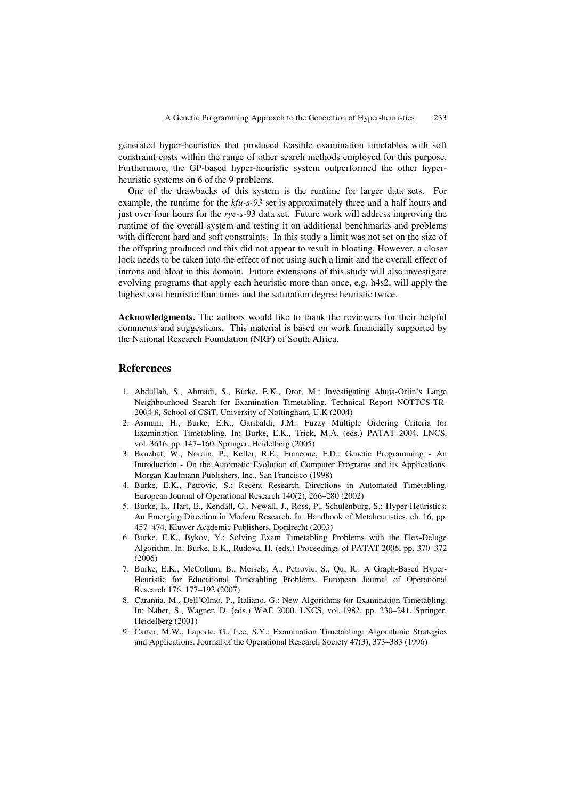generated hyper-heuristics that produced feasible examination timetables with soft constraint costs within the range of other search methods employed for this purpose. Furthermore, the GP-based hyper-heuristic system outperformed the other hyperheuristic systems on 6 of the 9 problems.

One of the drawbacks of this system is the runtime for larger data sets. For example, the runtime for the *kfu-s-93* set is approximately three and a half hours and just over four hours for the *rye-s-*93 data set. Future work will address improving the runtime of the overall system and testing it on additional benchmarks and problems with different hard and soft constraints. In this study a limit was not set on the size of the offspring produced and this did not appear to result in bloating. However, a closer look needs to be taken into the effect of not using such a limit and the overall effect of introns and bloat in this domain. Future extensions of this study will also investigate evolving programs that apply each heuristic more than once, e.g. h4s2, will apply the highest cost heuristic four times and the saturation degree heuristic twice.

**Acknowledgments.** The authors would like to thank the reviewers for their helpful comments and suggestions. This material is based on work financially supported by the National Research Foundation (NRF) of South Africa.

# **References**

- 1. Abdullah, S., Ahmadi, S., Burke, E.K., Dror, M.: Investigating Ahuja-Orlin's Large Neighbourhood Search for Examination Timetabling. Technical Report NOTTCS-TR-2004-8, School of CSiT, University of Nottingham, U.K (2004)
- 2. Asmuni, H., Burke, E.K., Garibaldi, J.M.: Fuzzy Multiple Ordering Criteria for Examination Timetabling. In: Burke, E.K., Trick, M.A. (eds.) PATAT 2004. LNCS, vol. 3616, pp. 147–160. Springer, Heidelberg (2005)
- 3. Banzhaf, W., Nordin, P., Keller, R.E., Francone, F.D.: Genetic Programming An Introduction - On the Automatic Evolution of Computer Programs and its Applications. Morgan Kaufmann Publishers, Inc., San Francisco (1998)
- 4. Burke, E.K., Petrovic, S.: Recent Research Directions in Automated Timetabling. European Journal of Operational Research 140(2), 266–280 (2002)
- 5. Burke, E., Hart, E., Kendall, G., Newall, J., Ross, P., Schulenburg, S.: Hyper-Heuristics: An Emerging Direction in Modern Research. In: Handbook of Metaheuristics, ch. 16, pp. 457–474. Kluwer Academic Publishers, Dordrecht (2003)
- 6. Burke, E.K., Bykov, Y.: Solving Exam Timetabling Problems with the Flex-Deluge Algorithm. In: Burke, E.K., Rudova, H. (eds.) Proceedings of PATAT 2006, pp. 370–372 (2006)
- 7. Burke, E.K., McCollum, B., Meisels, A., Petrovic, S., Qu, R.: A Graph-Based Hyper-Heuristic for Educational Timetabling Problems. European Journal of Operational Research 176, 177–192 (2007)
- 8. Caramia, M., Dell'Olmo, P., Italiano, G.: New Algorithms for Examination Timetabling. In: Näher, S., Wagner, D. (eds.) WAE 2000. LNCS, vol. 1982, pp. 230–241. Springer, Heidelberg (2001)
- 9. Carter, M.W., Laporte, G., Lee, S.Y.: Examination Timetabling: Algorithmic Strategies and Applications. Journal of the Operational Research Society 47(3), 373–383 (1996)